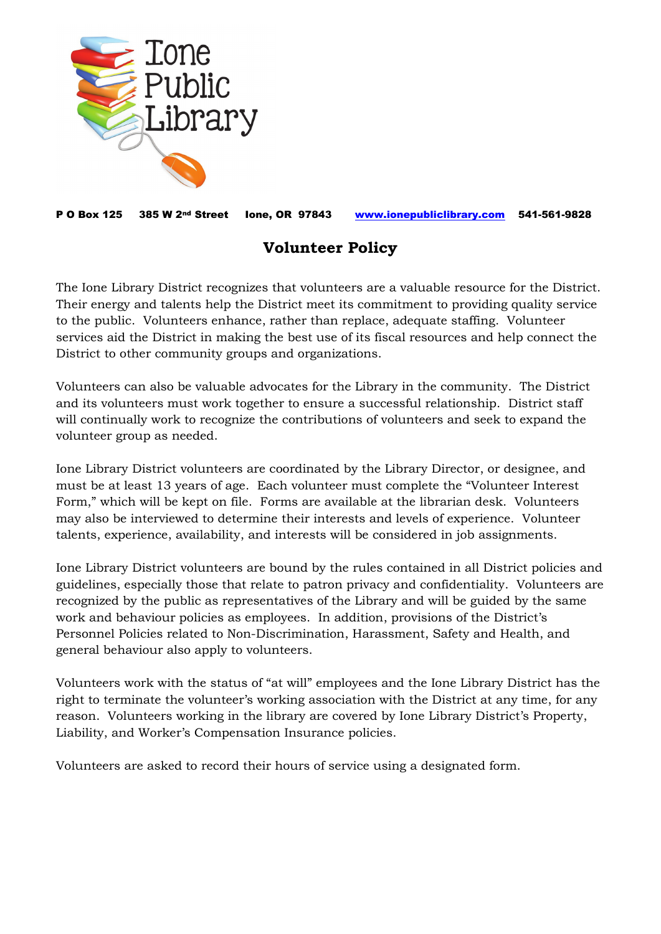

P O Box 125 385 W 2nd Street Ione, OR 97843 [www.ionepubliclibrary.com](http://www.ionepubliclibrary.com/) 541-561-9828

## **Volunteer Policy**

The Ione Library District recognizes that volunteers are a valuable resource for the District. Their energy and talents help the District meet its commitment to providing quality service to the public. Volunteers enhance, rather than replace, adequate staffing. Volunteer services aid the District in making the best use of its fiscal resources and help connect the District to other community groups and organizations.

Volunteers can also be valuable advocates for the Library in the community. The District and its volunteers must work together to ensure a successful relationship. District staff will continually work to recognize the contributions of volunteers and seek to expand the volunteer group as needed.

Ione Library District volunteers are coordinated by the Library Director, or designee, and must be at least 13 years of age. Each volunteer must complete the "Volunteer Interest Form," which will be kept on file. Forms are available at the librarian desk. Volunteers may also be interviewed to determine their interests and levels of experience. Volunteer talents, experience, availability, and interests will be considered in job assignments.

Ione Library District volunteers are bound by the rules contained in all District policies and guidelines, especially those that relate to patron privacy and confidentiality. Volunteers are recognized by the public as representatives of the Library and will be guided by the same work and behaviour policies as employees. In addition, provisions of the District's Personnel Policies related to Non-Discrimination, Harassment, Safety and Health, and general behaviour also apply to volunteers.

Volunteers work with the status of "at will" employees and the Ione Library District has the right to terminate the volunteer's working association with the District at any time, for any reason. Volunteers working in the library are covered by Ione Library District's Property, Liability, and Worker's Compensation Insurance policies.

Volunteers are asked to record their hours of service using a designated form.